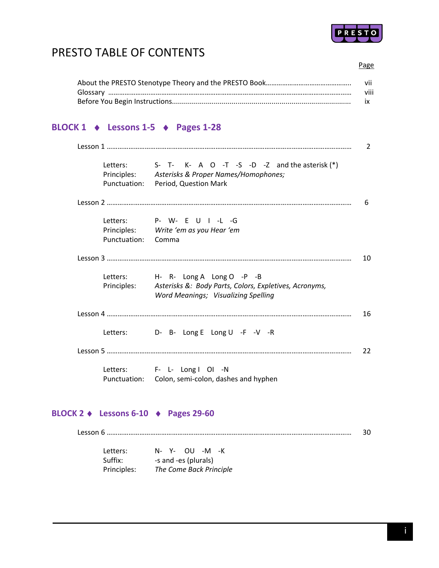

# PRESTO TABLE OF CONTENTS

| vii              |
|------------------|
| $\cdots$<br>VIII |
| IX               |

### **BLOCK 1 Lessons 1‐5 Pages 1‐28**

|                    | Letters: $S - T - K - A = O - T - S - D - Z$ and the asterisk (*) |    |
|--------------------|-------------------------------------------------------------------|----|
|                    | Principles: Asterisks & Proper Names/Homophones;                  |    |
|                    | Punctuation: Period, Question Mark                                |    |
|                    |                                                                   |    |
|                    | Letters: P- W- E U I -L -G                                        |    |
|                    | Principles: Write 'em as you Hear 'em                             |    |
| Punctuation: Comma |                                                                   |    |
|                    |                                                                   | 10 |
|                    | Letters: H- R- Long A Long O -P -B                                |    |
| Principles:        | Asterisks &: Body Parts, Colors, Expletives, Acronyms,            |    |
|                    | Word Meanings; Visualizing Spelling                               |    |
|                    |                                                                   | 16 |
|                    | Letters: D- B- Long E Long U -F -V -R                             |    |
|                    |                                                                   | 22 |
|                    | Letters: F- L- Long I OI -N                                       |    |
|                    | Punctuation: Colon, semi-colon, dashes and hyphen                 |    |

#### **BLOCK 2 Lessons 6‐10 Pages 29‐60**

Lesson 6 ……………………………………………………………………………………………………………………… 30

| Letters:    | N- Y- OU -M<br>–к       |
|-------------|-------------------------|
| Suffix:     | -s and -es (plurals)    |
| Principles: | The Come Back Principle |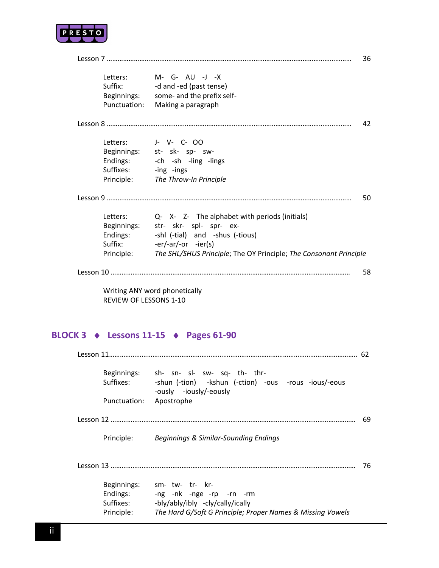

|                       | Letters: M- G- AU -J -X                                                      |
|-----------------------|------------------------------------------------------------------------------|
| Suffix: <b>Suffix</b> | -d and -ed (past tense)                                                      |
|                       | Beginnings: some- and the prefix self-                                       |
| Punctuation:          | Making a paragraph                                                           |
|                       |                                                                              |
|                       | Letters: J- V- C- OO                                                         |
|                       | Beginnings: st- sk- sp- sw-                                                  |
| Endings:              | -ch -sh -ling -lings                                                         |
| Suffixes:             | -ing -ings                                                                   |
|                       | Principle: The Throw-In Principle                                            |
|                       |                                                                              |
|                       | Letters: Q- X- Z- The alphabet with periods (initials)                       |
|                       | Beginnings: str- skr- spl- spr- ex-                                          |
| Endings:              | -shl (-tial) and -shus (-tious)                                              |
| Suffix: <b>Suffix</b> | $-er/-ar/-or$ $-ier(s)$                                                      |
|                       | Principle: The SHL/SHUS Principle; The OY Principle; The Consonant Principle |
|                       |                                                                              |
|                       | Writing ANY word phonetically                                                |

REVIEW OF LESSONS 1‐10

### **BLOCK 3 Lessons 11‐15 Pages 61‐90**

| Suffixes: <b>Suffixes</b> | Beginnings: sh- sn- sl- sw- sq- th- thr-<br>-shun (-tion) -kshun (-ction) -ous -rous -ious/-eous<br>-ously -iously/-eously |
|---------------------------|----------------------------------------------------------------------------------------------------------------------------|
| Punctuation:              | Apostrophe                                                                                                                 |
|                           |                                                                                                                            |
|                           | Principle: Beginnings & Similar-Sounding Endings                                                                           |
|                           |                                                                                                                            |
|                           | sm- tw- tr- kr-                                                                                                            |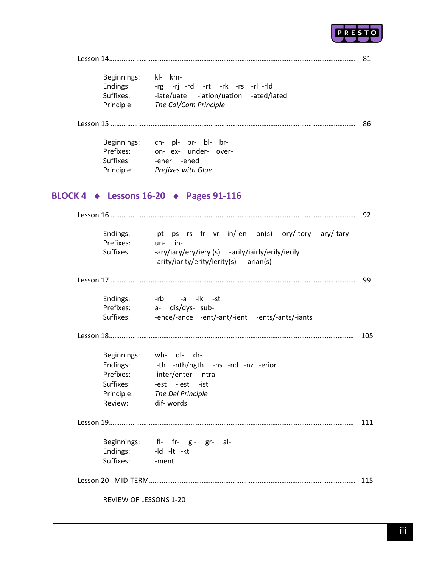

| _____ |
|-------|
|-------|

| Beginnings: | kl- km-                               |
|-------------|---------------------------------------|
| Endings:    | -rg -ri -rd -rt -rk -rs -rl -rld      |
| Suffixes:   | -iate/uate -iation/uation -ated/iated |
| Principle:  | The Col/Com Principle                 |

Lesson 15 ……………………………………………………………………………………………………………………… 86

| Beginnings: | ch- pl- pr- bl- br- |  |                      |  |
|-------------|---------------------|--|----------------------|--|
| Prefixes:   |                     |  | on- ex- under- over- |  |
| Suffixes:   | -ener -ened         |  |                      |  |
| Principle:  | Prefixes with Glue  |  |                      |  |

### **BLOCK 4 Lessons 16‐20 Pages 91‐116**

| Endings:<br>Prefixes:<br>Suffixes: | -pt -ps -rs -fr -vr -in/-en -on(s) -ory/-tory -ary/-tary<br>$un-$ in-<br>-ary/iary/ery/iery (s) -arily/iairly/erily/ierily<br>-arity/iarity/erity/ierity(s) -arian(s) |     |
|------------------------------------|-----------------------------------------------------------------------------------------------------------------------------------------------------------------------|-----|
|                                    |                                                                                                                                                                       |     |
|                                    |                                                                                                                                                                       | -99 |
|                                    | Endings: - rb - a - lk - st                                                                                                                                           |     |
|                                    | Prefixes: a- dis/dys- sub-                                                                                                                                            |     |
|                                    | Suffixes: -ence/-ance -ent/-ant/-ient -ents/-ants/-iants                                                                                                              |     |
|                                    |                                                                                                                                                                       | 105 |
|                                    | Beginnings: wh- dl- dr-                                                                                                                                               |     |
|                                    | Endings: - th -nth/ngth -ns -nd -nz -erior                                                                                                                            |     |
|                                    | Prefixes: inter/enter- intra-                                                                                                                                         |     |
|                                    | Suffixes: -est -iest -ist                                                                                                                                             |     |
|                                    | Principle: The Del Principle                                                                                                                                          |     |
| Review: dif-words                  |                                                                                                                                                                       |     |
|                                    |                                                                                                                                                                       | 111 |
|                                    | Beginnings: fl- fr- gl- gr- al-                                                                                                                                       |     |
|                                    | Endings: - Id - It - kt                                                                                                                                               |     |
| Suffixes: - ment                   |                                                                                                                                                                       |     |
|                                    |                                                                                                                                                                       |     |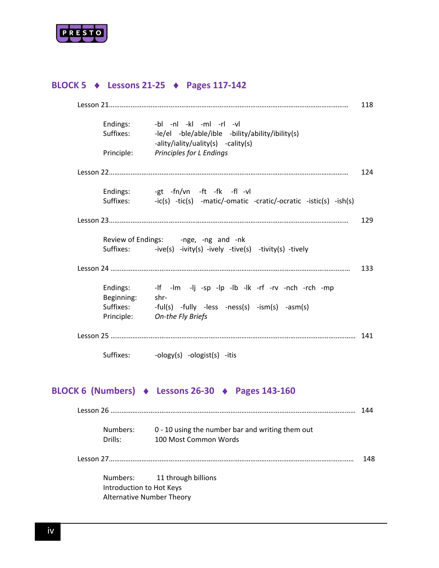

### **BLOCK 5 Lessons 21‐25 Pages 117‐142**

| Endings:   | -bl -nl -kl -ml -rl -vl                                                                |
|------------|----------------------------------------------------------------------------------------|
| Suffixes:  | -le/el -ble/able/ible -bility/ability/ibility(s)<br>-ality/iality/uality(s) -cality(s) |
| Principle: | Principles for L Endings                                                               |
|            |                                                                                        |
|            | Endings: -gt -fn/vn -ft -fk -fl -vl                                                    |
| Suffixes:  | -ic(s) -tic(s) -matic/-omatic -cratic/-ocratic -istic(s) -ish(s)                       |
|            |                                                                                        |
|            |                                                                                        |
|            | Review of Endings: - nge, -ng and -nk                                                  |
| Suffixes:  | -ive(s) -ivity(s) -ively -tive(s) -tivity(s) -tively                                   |
|            |                                                                                        |
| Endings:   | -If -Im -Ij -sp -Ip -Ib -Ik -rf -rv -nch -rch -mp                                      |
| Beginning: | shr-                                                                                   |
| Suffixes:  | $-ful(s)$ -fully -less -ness(s) -ism(s) -asm(s)                                        |
| Principle: | On-the Fly Briefs                                                                      |
|            |                                                                                        |

### **BLOCK 6 (Numbers) Lessons 26‐30 Pages 143‐160**

|                                                              |                                                                           | 144  |
|--------------------------------------------------------------|---------------------------------------------------------------------------|------|
| Numbers:<br>Drills:                                          | 0 - 10 using the number bar and writing them out<br>100 Most Common Words |      |
|                                                              |                                                                           | 148. |
| Introduction to Hot Keys<br><b>Alternative Number Theory</b> | Numbers: 11 through billions                                              |      |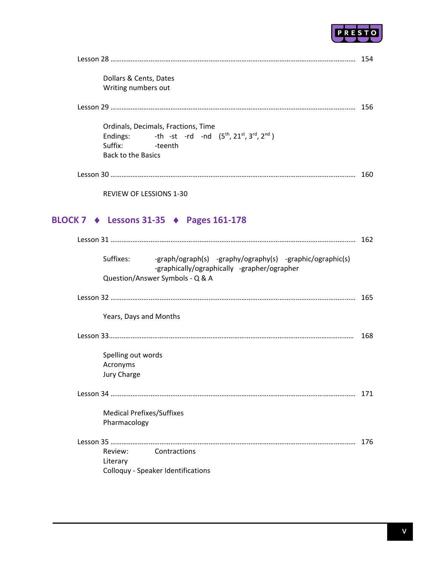

| Dollars & Cents, Dates<br>Writing numbers out                                                                                                           |     |
|---------------------------------------------------------------------------------------------------------------------------------------------------------|-----|
|                                                                                                                                                         |     |
| Ordinals, Decimals, Fractions, Time<br>-th -st -rd -nd $(5th, 21st, 3rd, 2nd)$<br>Endings:<br>Suffix:<br>-teenth<br><b>Back to the Basics</b>           |     |
|                                                                                                                                                         |     |
| <b>REVIEW OF LESSIONS 1-30</b>                                                                                                                          |     |
| BLOCK 7 → Lessons 31-35 → Pages 161-178                                                                                                                 |     |
|                                                                                                                                                         |     |
| Suffixes:<br>-graph/ograph(s) -graphy/ography(s) -graphic/ographic(s)<br>-graphically/ographically -grapher/ographer<br>Question/Answer Symbols - Q & A |     |
|                                                                                                                                                         |     |
| Years, Days and Months                                                                                                                                  |     |
|                                                                                                                                                         |     |
| Spelling out words<br>Acronyms<br>Jury Charge                                                                                                           |     |
|                                                                                                                                                         | 171 |
| <b>Medical Prefixes/Suffixes</b><br>Pharmacology                                                                                                        |     |
|                                                                                                                                                         | 176 |
| Review:<br>Contractions<br>Literary<br>Colloquy - Speaker Identifications                                                                               |     |